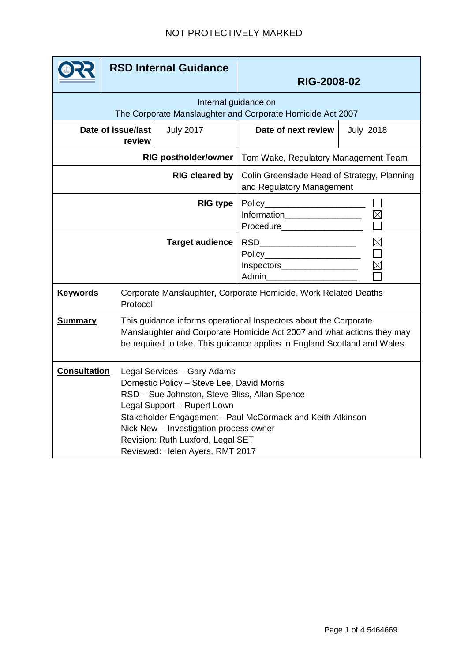|                                                                                    | <b>RSD Internal Guidance</b> |                                                                                                                                                                                                                                                                                                                                          | <b>RIG-2008-02</b>                                                                                                                  |                  |  |
|------------------------------------------------------------------------------------|------------------------------|------------------------------------------------------------------------------------------------------------------------------------------------------------------------------------------------------------------------------------------------------------------------------------------------------------------------------------------|-------------------------------------------------------------------------------------------------------------------------------------|------------------|--|
| Internal guidance on<br>The Corporate Manslaughter and Corporate Homicide Act 2007 |                              |                                                                                                                                                                                                                                                                                                                                          |                                                                                                                                     |                  |  |
| Date of issue/last<br>review                                                       |                              | <b>July 2017</b>                                                                                                                                                                                                                                                                                                                         | Date of next review                                                                                                                 | <b>July 2018</b> |  |
| <b>RIG postholder/owner</b>                                                        |                              |                                                                                                                                                                                                                                                                                                                                          | Tom Wake, Regulatory Management Team                                                                                                |                  |  |
| <b>RIG cleared by</b>                                                              |                              |                                                                                                                                                                                                                                                                                                                                          | Colin Greenslade Head of Strategy, Planning<br>and Regulatory Management                                                            |                  |  |
| <b>RIG type</b>                                                                    |                              |                                                                                                                                                                                                                                                                                                                                          | Information__________________<br><b>Procedure Example 2019</b>                                                                      |                  |  |
| <b>Target audience</b>                                                             |                              |                                                                                                                                                                                                                                                                                                                                          | $\boxtimes$<br>RSD_________________________<br>Policy_______________________<br>$\boxtimes$<br>Inspectors_________________<br>Admin |                  |  |
| <b>Keywords</b>                                                                    | Protocol                     | Corporate Manslaughter, Corporate Homicide, Work Related Deaths                                                                                                                                                                                                                                                                          |                                                                                                                                     |                  |  |
| <b>Summary</b>                                                                     |                              | This guidance informs operational Inspectors about the Corporate<br>Manslaughter and Corporate Homicide Act 2007 and what actions they may<br>be required to take. This guidance applies in England Scotland and Wales.                                                                                                                  |                                                                                                                                     |                  |  |
| <b>Consultation</b>                                                                |                              | Legal Services - Gary Adams<br>Domestic Policy - Steve Lee, David Morris<br>RSD - Sue Johnston, Steve Bliss, Allan Spence<br>Legal Support - Rupert Lown<br>Stakeholder Engagement - Paul McCormack and Keith Atkinson<br>Nick New - Investigation process owner<br>Revision: Ruth Luxford, Legal SET<br>Reviewed: Helen Ayers, RMT 2017 |                                                                                                                                     |                  |  |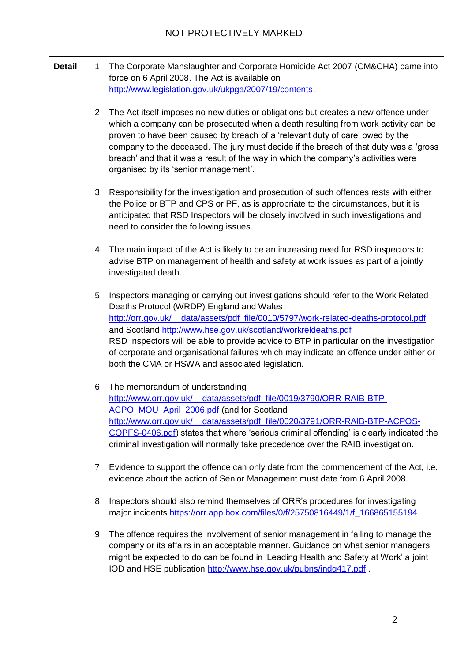- **Detail** 1. The Corporate Manslaughter and Corporate Homicide Act 2007 (CM&CHA) came into force on 6 April 2008. The Act is available on [http://www.legislation.gov.uk/ukpga/2007/19/contents.](http://www.legislation.gov.uk/ukpga/2007/19/contents)
	- 2. The Act itself imposes no new duties or obligations but creates a new offence under which a company can be prosecuted when a death resulting from work activity can be proven to have been caused by breach of a 'relevant duty of care' owed by the company to the deceased. The jury must decide if the breach of that duty was a 'gross breach' and that it was a result of the way in which the company's activities were organised by its 'senior management'.
	- 3. Responsibility for the investigation and prosecution of such offences rests with either the Police or BTP and CPS or PF, as is appropriate to the circumstances, but it is anticipated that RSD Inspectors will be closely involved in such investigations and need to consider the following issues.
	- 4. The main impact of the Act is likely to be an increasing need for RSD inspectors to advise BTP on management of health and safety at work issues as part of a jointly investigated death.
	- 5. Inspectors managing or carrying out investigations should refer to the Work Related Deaths Protocol (WRDP) England and Wales [http://orr.gov.uk/\\_\\_data/assets/pdf\\_file/0010/5797/work-related-deaths-protocol.pdf](http://www.orr.gov.uk/__data/assets/pdf_file/0010/5797/Work-related-Death-Protocol.pdf) and Scotland<http://www.hse.gov.uk/scotland/workreldeaths.pdf> RSD Inspectors will be able to provide advice to BTP in particular on the investigation of corporate and organisational failures which may indicate an offence under either or both the CMA or HSWA and associated legislation.
	- 6. The memorandum of understanding [http://www.orr.gov.uk/\\_\\_data/assets/pdf\\_file/0019/3790/ORR-RAIB-BTP-](http://www.orr.gov.uk/__data/assets/pdf_file/0019/3790/ORR-RAIB-BTP-ACPO_MOU_April_2006.pdf)[ACPO\\_MOU\\_April\\_2006.pdf](http://www.orr.gov.uk/__data/assets/pdf_file/0019/3790/ORR-RAIB-BTP-ACPO_MOU_April_2006.pdf) (and for Scotland http://www.orr.gov.uk/ data/assets/pdf\_file/0020/3791/ORR-RAIB-BTP-ACPOS-[COPFS-0406.pdf\)](http://www.orr.gov.uk/__data/assets/pdf_file/0020/3791/ORR-RAIB-BTP-ACPOS-COPFS-0406.pdf) states that where 'serious criminal offending' is clearly indicated the criminal investigation will normally take precedence over the RAIB investigation.
	- 7. Evidence to support the offence can only date from the commencement of the Act, i.e. evidence about the action of Senior Management must date from 6 April 2008.
	- 8. Inspectors should also remind themselves of ORR's procedures for investigating major incidents [https://orr.app.box.com/files/0/f/25750816449/1/f\\_166865155194.](https://orr.app.box.com/files/0/f/25750816449/1/f_166865155194)
	- 9. The offence requires the involvement of senior management in failing to manage the company or its affairs in an acceptable manner. Guidance on what senior managers might be expected to do can be found in 'Leading Health and Safety at Work' a joint IOD and HSE publication<http://www.hse.gov.uk/pubns/indg417.pdf> .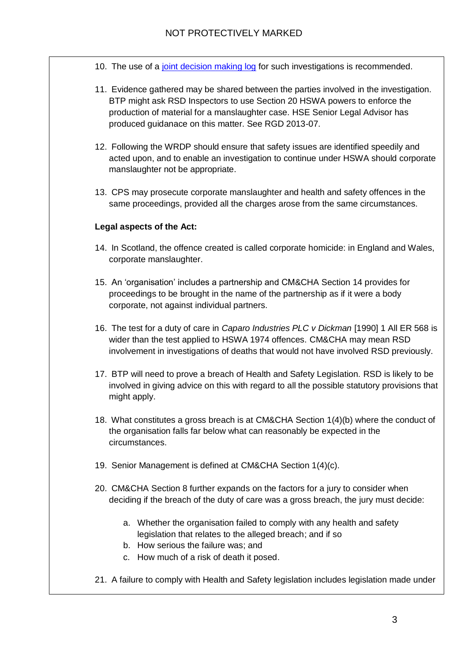- 10. The use of a [joint decision making log](https://orr.box.com/s/yl1e2s8giyds3e0btzw5bwp44wlhxahu) for such investigations is recommended.
- 11. Evidence gathered may be shared between the parties involved in the investigation. BTP might ask RSD Inspectors to use Section 20 HSWA powers to enforce the production of material for a manslaughter case. HSE Senior Legal Advisor has produced guidanace on this matter. See RGD 2013-07.
- 12. Following the WRDP should ensure that safety issues are identified speedily and acted upon, and to enable an investigation to continue under HSWA should corporate manslaughter not be appropriate.
- 13. CPS may prosecute corporate manslaughter and health and safety offences in the same proceedings, provided all the charges arose from the same circumstances.

## **Legal aspects of the Act:**

- 14. In Scotland, the offence created is called corporate homicide: in England and Wales, corporate manslaughter.
- 15. An 'organisation' includes a partnership and CM&CHA Section 14 provides for proceedings to be brought in the name of the partnership as if it were a body corporate, not against individual partners.
- 16. The test for a duty of care in *Caparo Industries PLC v Dickman* [1990] 1 All ER 568 is wider than the test applied to HSWA 1974 offences. CM&CHA may mean RSD involvement in investigations of deaths that would not have involved RSD previously.
- 17. BTP will need to prove a breach of Health and Safety Legislation. RSD is likely to be involved in giving advice on this with regard to all the possible statutory provisions that might apply.
- 18. What constitutes a gross breach is at CM&CHA Section 1(4)(b) where the conduct of the organisation falls far below what can reasonably be expected in the circumstances.
- 19. Senior Management is defined at CM&CHA Section 1(4)(c).
- 20. CM&CHA Section 8 further expands on the factors for a jury to consider when deciding if the breach of the duty of care was a gross breach, the jury must decide:
	- a. Whether the organisation failed to comply with any health and safety legislation that relates to the alleged breach; and if so
	- b. How serious the failure was; and
	- c. How much of a risk of death it posed.
- 21. A failure to comply with Health and Safety legislation includes legislation made under